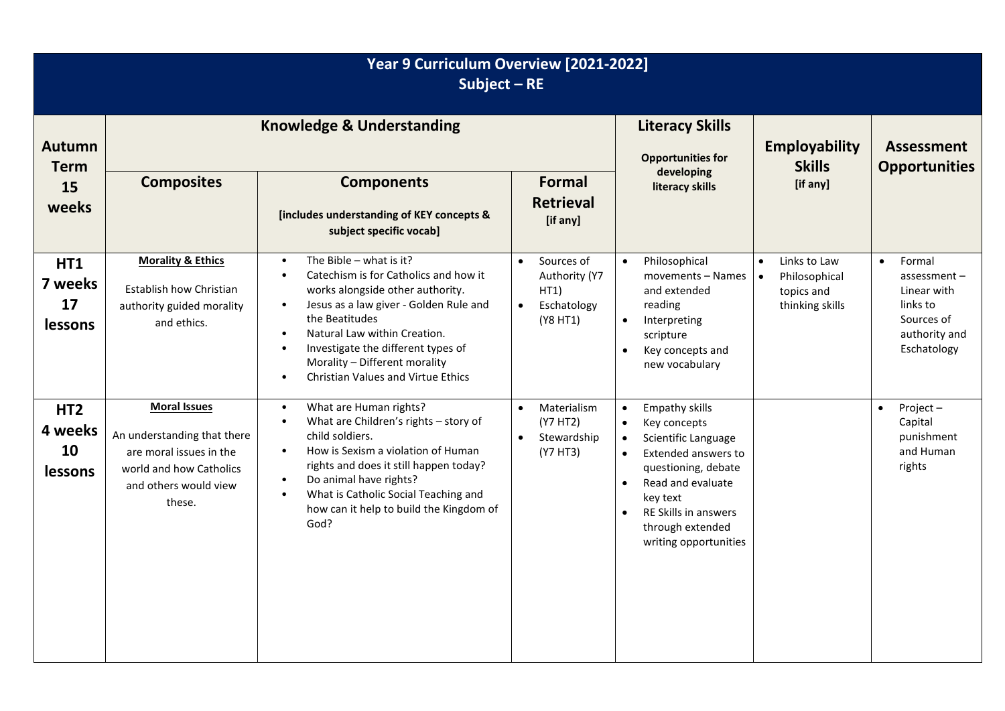| Year 9 Curriculum Overview [2021-2022]<br>Subject $-RE$ |                                                                                                                                             |                                                                                                                                                                                                                                                                                                                                                                                                      |                                                                                          |                                                                                                                                                                                                                                                                                         |                                                                             |                                                                                                                |  |
|---------------------------------------------------------|---------------------------------------------------------------------------------------------------------------------------------------------|------------------------------------------------------------------------------------------------------------------------------------------------------------------------------------------------------------------------------------------------------------------------------------------------------------------------------------------------------------------------------------------------------|------------------------------------------------------------------------------------------|-----------------------------------------------------------------------------------------------------------------------------------------------------------------------------------------------------------------------------------------------------------------------------------------|-----------------------------------------------------------------------------|----------------------------------------------------------------------------------------------------------------|--|
| <b>Autumn</b><br><b>Term</b><br>15<br>weeks             | <b>Knowledge &amp; Understanding</b>                                                                                                        |                                                                                                                                                                                                                                                                                                                                                                                                      |                                                                                          | <b>Literacy Skills</b><br><b>Opportunities for</b><br>developing                                                                                                                                                                                                                        | <b>Employability</b><br><b>Skills</b>                                       | <b>Assessment</b><br><b>Opportunities</b>                                                                      |  |
|                                                         | <b>Composites</b>                                                                                                                           | <b>Components</b><br>[includes understanding of KEY concepts &<br>subject specific vocab]                                                                                                                                                                                                                                                                                                            | Formal<br><b>Retrieval</b><br>[if any]                                                   | literacy skills                                                                                                                                                                                                                                                                         | [if any]                                                                    |                                                                                                                |  |
| <b>HT1</b><br>7 weeks<br>17<br>lessons                  | <b>Morality &amp; Ethics</b><br>Establish how Christian<br>authority guided morality<br>and ethics.                                         | The Bible $-$ what is it?<br>$\bullet$<br>Catechism is for Catholics and how it<br>$\bullet$<br>works alongside other authority.<br>Jesus as a law giver - Golden Rule and<br>$\bullet$<br>the Beatitudes<br>Natural Law within Creation.<br>$\bullet$<br>Investigate the different types of<br>$\bullet$<br>Morality - Different morality<br><b>Christian Values and Virtue Ethics</b><br>$\bullet$ | Sources of<br>$\bullet$<br>Authority (Y7<br>HT1)<br>Eschatology<br>$\bullet$<br>(Y8 HT1) | Philosophical<br>$\bullet$<br>movements - Names<br>and extended<br>reading<br>Interpreting<br>$\bullet$<br>scripture<br>Key concepts and<br>$\bullet$<br>new vocabulary                                                                                                                 | $\bullet$<br>Links to Law<br>Philosophical<br>topics and<br>thinking skills | Formal<br>$\bullet$<br>$assessment -$<br>Linear with<br>links to<br>Sources of<br>authority and<br>Eschatology |  |
| HT <sub>2</sub><br>4 weeks<br>10<br>lessons             | <b>Moral Issues</b><br>An understanding that there<br>are moral issues in the<br>world and how Catholics<br>and others would view<br>these. | What are Human rights?<br>$\bullet$<br>What are Children's rights - story of<br>$\bullet$<br>child soldiers.<br>How is Sexism a violation of Human<br>$\bullet$<br>rights and does it still happen today?<br>Do animal have rights?<br>$\bullet$<br>What is Catholic Social Teaching and<br>$\bullet$<br>how can it help to build the Kingdom of<br>God?                                             | Materialism<br>$\bullet$<br>(Y7 HT2)<br>Stewardship<br>(Y7 HT3)                          | Empathy skills<br>$\bullet$<br>Key concepts<br>$\bullet$<br>Scientific Language<br>$\bullet$<br>Extended answers to<br>$\bullet$<br>questioning, debate<br>Read and evaluate<br>$\bullet$<br>key text<br>RE Skills in answers<br>$\bullet$<br>through extended<br>writing opportunities |                                                                             | Project-<br>$\bullet$<br>Capital<br>punishment<br>and Human<br>rights                                          |  |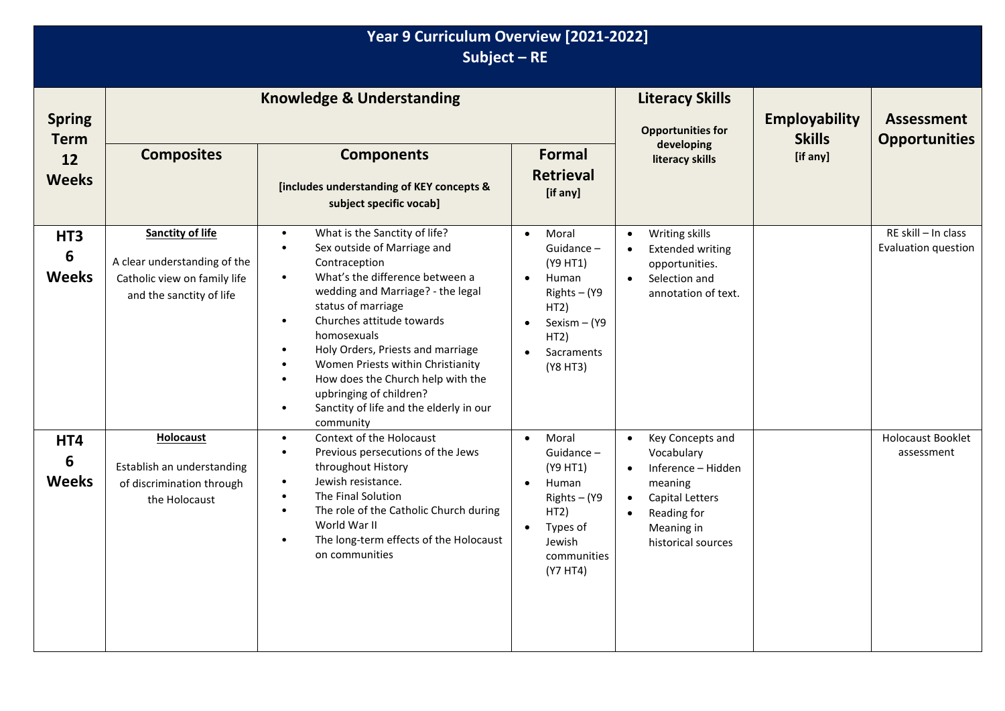## **Year 9 Curriculum Overview [2021-2022] Subject – RE**

| <b>Spring</b><br><b>Term</b>           | <b>Knowledge &amp; Understanding</b>                                                                                |                                                                                                                                                                                                                                                                                                                                                                                                                                                                                                                                   |                                                                                                                                                          | <b>Literacy Skills</b><br><b>Opportunities for</b>                                                                                                                     | <b>Employability</b><br><b>Skills</b> | <b>Assessment</b><br><b>Opportunities</b>  |
|----------------------------------------|---------------------------------------------------------------------------------------------------------------------|-----------------------------------------------------------------------------------------------------------------------------------------------------------------------------------------------------------------------------------------------------------------------------------------------------------------------------------------------------------------------------------------------------------------------------------------------------------------------------------------------------------------------------------|----------------------------------------------------------------------------------------------------------------------------------------------------------|------------------------------------------------------------------------------------------------------------------------------------------------------------------------|---------------------------------------|--------------------------------------------|
| 12<br><b>Weeks</b>                     | <b>Composites</b>                                                                                                   | <b>Components</b><br>[includes understanding of KEY concepts &<br>subject specific vocab]                                                                                                                                                                                                                                                                                                                                                                                                                                         | <b>Formal</b><br><b>Retrieval</b><br>[if any]                                                                                                            | developing<br>literacy skills                                                                                                                                          | [if any]                              |                                            |
| HT <sub>3</sub><br>6<br><b>Weeks</b>   | <b>Sanctity of life</b><br>A clear understanding of the<br>Catholic view on family life<br>and the sanctity of life | What is the Sanctity of life?<br>$\bullet$<br>Sex outside of Marriage and<br>$\bullet$<br>Contraception<br>What's the difference between a<br>$\bullet$<br>wedding and Marriage? - the legal<br>status of marriage<br>Churches attitude towards<br>$\bullet$<br>homosexuals<br>Holy Orders, Priests and marriage<br>$\bullet$<br>Women Priests within Christianity<br>$\bullet$<br>How does the Church help with the<br>$\bullet$<br>upbringing of children?<br>Sanctity of life and the elderly in our<br>$\bullet$<br>community | Moral<br>$\bullet$<br>Guidance-<br>(Y9 HT1)<br>Human<br>$\bullet$<br>Rights - (Y9<br>HT2)<br>Sexism - (Y9<br>$\bullet$<br>HT2)<br>Sacraments<br>(Y8 HT3) | Writing skills<br>$\bullet$<br><b>Extended writing</b><br>$\bullet$<br>opportunities.<br>Selection and<br>$\bullet$<br>annotation of text.                             |                                       | RE skill - In class<br>Evaluation question |
| HT4<br>$6\phantom{1}6$<br><b>Weeks</b> | <b>Holocaust</b><br>Establish an understanding<br>of discrimination through<br>the Holocaust                        | Context of the Holocaust<br>$\bullet$<br>Previous persecutions of the Jews<br>$\bullet$<br>throughout History<br>Jewish resistance.<br>$\bullet$<br>The Final Solution<br>$\bullet$<br>The role of the Catholic Church during<br>$\bullet$<br>World War II<br>The long-term effects of the Holocaust<br>$\bullet$<br>on communities                                                                                                                                                                                               | Moral<br>$\bullet$<br>Guidance-<br>(Y9 HT1)<br>Human<br>$\bullet$<br>Rights - (Y9<br>HT2)<br>Types of<br>$\bullet$<br>Jewish<br>communities<br>(Y7 HT4)  | Key Concepts and<br>$\bullet$<br>Vocabulary<br>Inference - Hidden<br>$\bullet$<br>meaning<br><b>Capital Letters</b><br>Reading for<br>Meaning in<br>historical sources |                                       | Holocaust Booklet<br>assessment            |